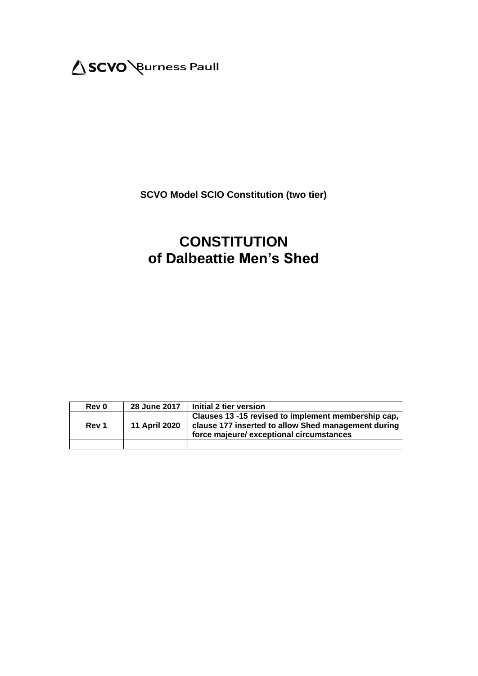

# **SCVO Model SCIO Constitution (two tier)**

# **CONSTITUTION of Dalbeattie Men's Shed**

| Rev 0 | 28 June 2017         | Initial 2 tier version                                                                                                                                 |
|-------|----------------------|--------------------------------------------------------------------------------------------------------------------------------------------------------|
| Rev 1 | <b>11 April 2020</b> | Clauses 13 -15 revised to implement membership cap,<br>clause 177 inserted to allow Shed management during<br>force majeure/ exceptional circumstances |
|       |                      |                                                                                                                                                        |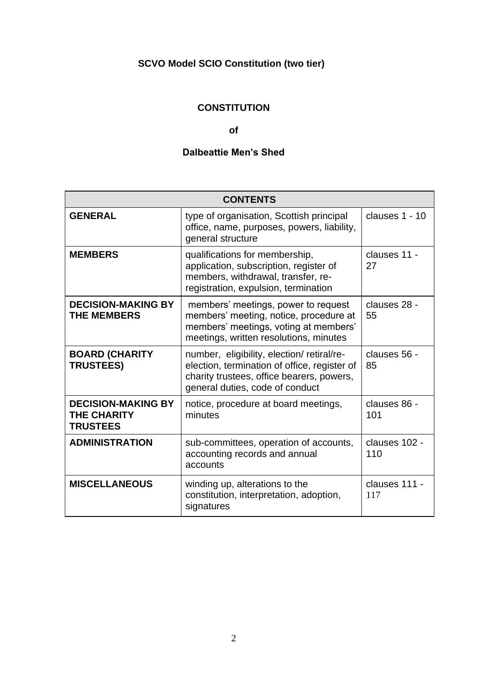# **SCVO Model SCIO Constitution (two tier)**

# **CONSTITUTION**

# **of**

# **Dalbeattie Men's Shed**

| <b>CONTENTS</b>                                                    |                                                                                                                                                                           |                      |  |  |  |
|--------------------------------------------------------------------|---------------------------------------------------------------------------------------------------------------------------------------------------------------------------|----------------------|--|--|--|
| <b>GENERAL</b>                                                     | type of organisation, Scottish principal<br>office, name, purposes, powers, liability,<br>general structure                                                               | clauses 1 - 10       |  |  |  |
| <b>MEMBERS</b>                                                     | qualifications for membership,<br>application, subscription, register of<br>members, withdrawal, transfer, re-<br>registration, expulsion, termination                    | clauses 11 -<br>27   |  |  |  |
| <b>DECISION-MAKING BY</b><br><b>THE MEMBERS</b>                    | members' meetings, power to request<br>members' meeting, notice, procedure at<br>members' meetings, voting at members'<br>meetings, written resolutions, minutes          | clauses 28 -<br>55   |  |  |  |
| <b>BOARD (CHARITY</b><br><b>TRUSTEES)</b>                          | number, eligibility, election/retiral/re-<br>election, termination of office, register of<br>charity trustees, office bearers, powers,<br>general duties, code of conduct | clauses 56 -<br>85   |  |  |  |
| <b>DECISION-MAKING BY</b><br><b>THE CHARITY</b><br><b>TRUSTEES</b> | notice, procedure at board meetings,<br>minutes                                                                                                                           | clauses 86 -<br>101  |  |  |  |
| <b>ADMINISTRATION</b>                                              | sub-committees, operation of accounts,<br>accounting records and annual<br>accounts                                                                                       | clauses 102 -<br>110 |  |  |  |
| <b>MISCELLANEOUS</b>                                               | winding up, alterations to the<br>constitution, interpretation, adoption,<br>signatures                                                                                   | clauses 111 -<br>117 |  |  |  |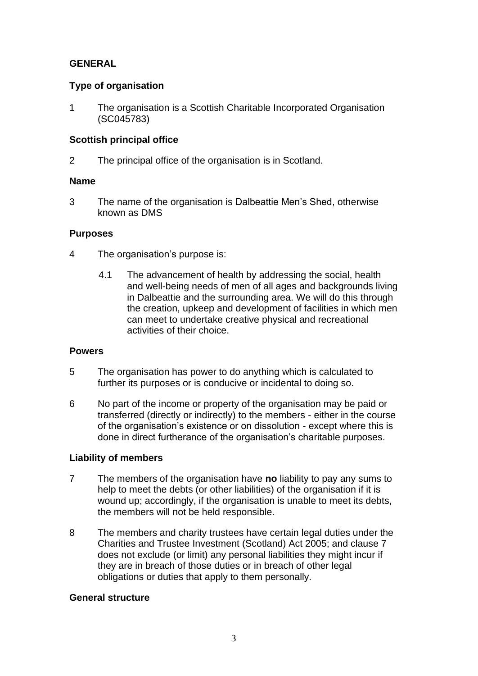# **GENERAL**

# **Type of organisation**

1 The organisation is a Scottish Charitable Incorporated Organisation (SC045783)

# **Scottish principal office**

2 The principal office of the organisation is in Scotland.

# **Name**

3 The name of the organisation is Dalbeattie Men's Shed, otherwise known as DMS

# **Purposes**

- 4 The organisation's purpose is:
	- 4.1 The advancement of health by addressing the social, health and well-being needs of men of all ages and backgrounds living in Dalbeattie and the surrounding area. We will do this through the creation, upkeep and development of facilities in which men can meet to undertake creative physical and recreational activities of their choice.

# **Powers**

- 5 The organisation has power to do anything which is calculated to further its purposes or is conducive or incidental to doing so.
- 6 No part of the income or property of the organisation may be paid or transferred (directly or indirectly) to the members - either in the course of the organisation's existence or on dissolution - except where this is done in direct furtherance of the organisation's charitable purposes.

# **Liability of members**

- 7 The members of the organisation have **no** liability to pay any sums to help to meet the debts (or other liabilities) of the organisation if it is wound up; accordingly, if the organisation is unable to meet its debts, the members will not be held responsible.
- 8 The members and charity trustees have certain legal duties under the Charities and Trustee Investment (Scotland) Act 2005; and clause 7 does not exclude (or limit) any personal liabilities they might incur if they are in breach of those duties or in breach of other legal obligations or duties that apply to them personally.

# **General structure**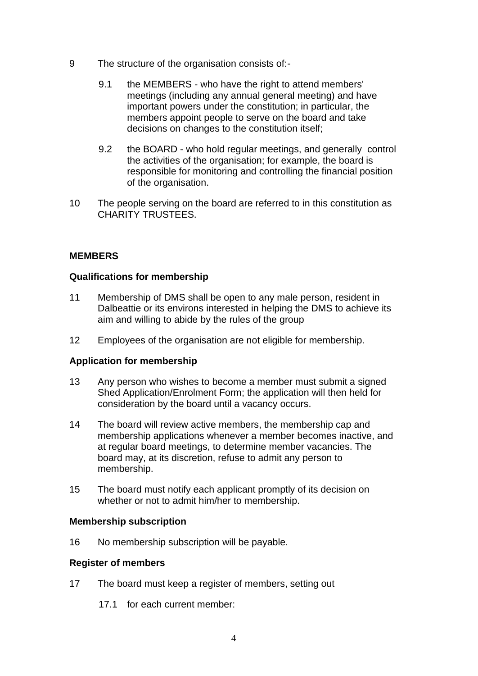- 9 The structure of the organisation consists of:-
	- 9.1 the MEMBERS who have the right to attend members' meetings (including any annual general meeting) and have important powers under the constitution; in particular, the members appoint people to serve on the board and take decisions on changes to the constitution itself;
	- 9.2 the BOARD who hold regular meetings, and generally control the activities of the organisation; for example, the board is responsible for monitoring and controlling the financial position of the organisation.
- 10 The people serving on the board are referred to in this constitution as CHARITY TRUSTEES.

# **MEMBERS**

# **Qualifications for membership**

- 11 Membership of DMS shall be open to any male person, resident in Dalbeattie or its environs interested in helping the DMS to achieve its aim and willing to abide by the rules of the group
- 12 Employees of the organisation are not eligible for membership.

# **Application for membership**

- 13 Any person who wishes to become a member must submit a signed Shed Application/Enrolment Form; the application will then held for consideration by the board until a vacancy occurs.
- 14 The board will review active members, the membership cap and membership applications whenever a member becomes inactive, and at regular board meetings, to determine member vacancies. The board may, at its discretion, refuse to admit any person to membership.
- 15 The board must notify each applicant promptly of its decision on whether or not to admit him/her to membership.

#### **Membership subscription**

16 No membership subscription will be payable.

# **Register of members**

- 17 The board must keep a register of members, setting out
	- 17.1 for each current member: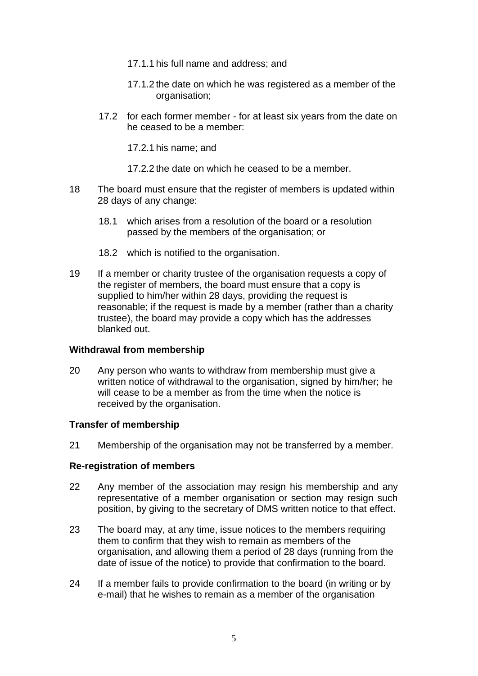- 17.1.1 his full name and address; and
- 17.1.2 the date on which he was registered as a member of the organisation;
- 17.2 for each former member for at least six years from the date on he ceased to be a member:

17.2.1 his name; and

- 17.2.2 the date on which he ceased to be a member.
- 18 The board must ensure that the register of members is updated within 28 days of any change:
	- 18.1 which arises from a resolution of the board or a resolution passed by the members of the organisation; or
	- 18.2 which is notified to the organisation.
- 19 If a member or charity trustee of the organisation requests a copy of the register of members, the board must ensure that a copy is supplied to him/her within 28 days, providing the request is reasonable; if the request is made by a member (rather than a charity trustee), the board may provide a copy which has the addresses blanked out.

# **Withdrawal from membership**

20 Any person who wants to withdraw from membership must give a written notice of withdrawal to the organisation, signed by him/her; he will cease to be a member as from the time when the notice is received by the organisation.

# **Transfer of membership**

21 Membership of the organisation may not be transferred by a member.

# **Re-registration of members**

- 22 Any member of the association may resign his membership and any representative of a member organisation or section may resign such position, by giving to the secretary of DMS written notice to that effect.
- 23 The board may, at any time, issue notices to the members requiring them to confirm that they wish to remain as members of the organisation, and allowing them a period of 28 days (running from the date of issue of the notice) to provide that confirmation to the board.
- 24 If a member fails to provide confirmation to the board (in writing or by e-mail) that he wishes to remain as a member of the organisation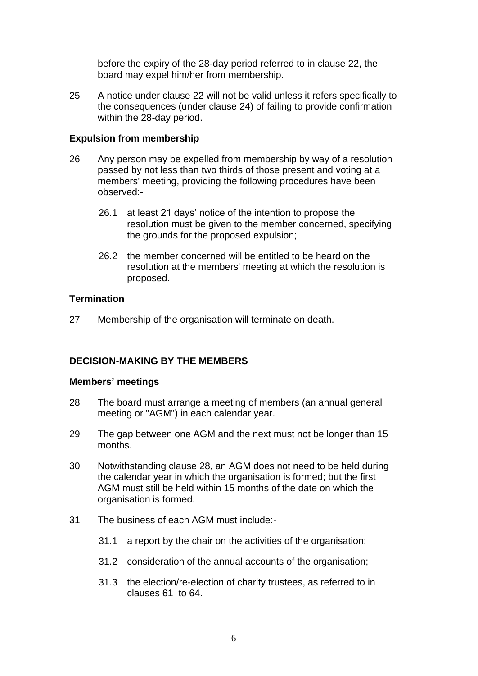before the expiry of the 28-day period referred to in clause 22, the board may expel him/her from membership.

25 A notice under clause 22 will not be valid unless it refers specifically to the consequences (under clause 24) of failing to provide confirmation within the 28-day period.

# **Expulsion from membership**

- 26 Any person may be expelled from membership by way of a resolution passed by not less than two thirds of those present and voting at a members' meeting, providing the following procedures have been observed:-
	- 26.1 at least 21 days' notice of the intention to propose the resolution must be given to the member concerned, specifying the grounds for the proposed expulsion;
	- 26.2 the member concerned will be entitled to be heard on the resolution at the members' meeting at which the resolution is proposed.

# **Termination**

27 Membership of the organisation will terminate on death.

# **DECISION-MAKING BY THE MEMBERS**

# **Members' meetings**

- 28 The board must arrange a meeting of members (an annual general meeting or "AGM") in each calendar year.
- 29 The gap between one AGM and the next must not be longer than 15 months.
- 30 Notwithstanding clause 28, an AGM does not need to be held during the calendar year in which the organisation is formed; but the first AGM must still be held within 15 months of the date on which the organisation is formed.
- 31 The business of each AGM must include:-
	- 31.1 a report by the chair on the activities of the organisation;
	- 31.2 consideration of the annual accounts of the organisation;
	- 31.3 the election/re-election of charity trustees, as referred to in clauses 61 to 64.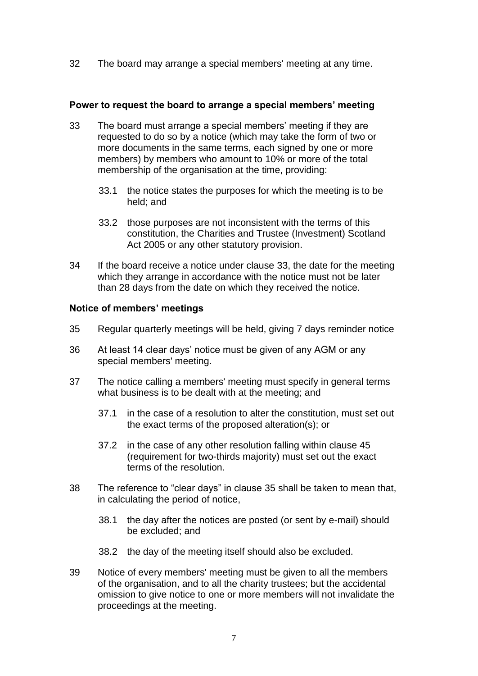32 The board may arrange a special members' meeting at any time.

### **Power to request the board to arrange a special members' meeting**

- 33 The board must arrange a special members' meeting if they are requested to do so by a notice (which may take the form of two or more documents in the same terms, each signed by one or more members) by members who amount to 10% or more of the total membership of the organisation at the time, providing:
	- 33.1 the notice states the purposes for which the meeting is to be held; and
	- 33.2 those purposes are not inconsistent with the terms of this constitution, the Charities and Trustee (Investment) Scotland Act 2005 or any other statutory provision.
- 34 If the board receive a notice under clause 33, the date for the meeting which they arrange in accordance with the notice must not be later than 28 days from the date on which they received the notice.

#### **Notice of members' meetings**

- 35 Regular quarterly meetings will be held, giving 7 days reminder notice
- 36 At least 14 clear days' notice must be given of any AGM or any special members' meeting.
- 37 The notice calling a members' meeting must specify in general terms what business is to be dealt with at the meeting; and
	- 37.1 in the case of a resolution to alter the constitution, must set out the exact terms of the proposed alteration(s); or
	- 37.2 in the case of any other resolution falling within clause 45 (requirement for two-thirds majority) must set out the exact terms of the resolution.
- 38 The reference to "clear days" in clause 35 shall be taken to mean that, in calculating the period of notice,
	- 38.1 the day after the notices are posted (or sent by e-mail) should be excluded; and
	- 38.2 the day of the meeting itself should also be excluded.
- 39 Notice of every members' meeting must be given to all the members of the organisation, and to all the charity trustees; but the accidental omission to give notice to one or more members will not invalidate the proceedings at the meeting.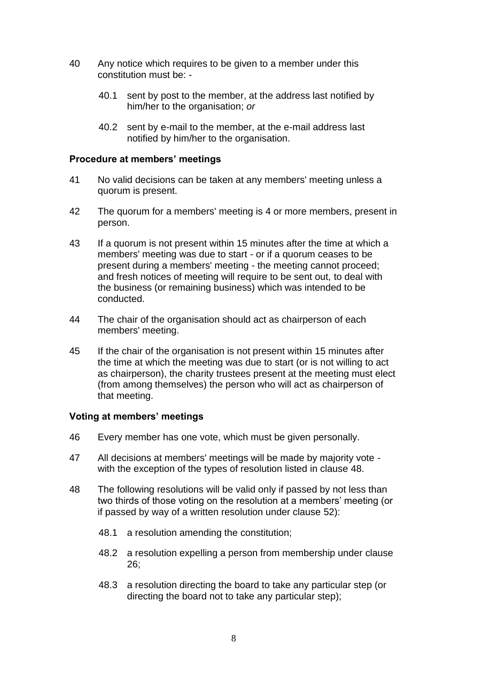- 40 Any notice which requires to be given to a member under this constitution must be: -
	- 40.1 sent by post to the member, at the address last notified by him/her to the organisation; *or*
	- 40.2 sent by e-mail to the member, at the e-mail address last notified by him/her to the organisation.

#### **Procedure at members' meetings**

- 41 No valid decisions can be taken at any members' meeting unless a quorum is present.
- 42 The quorum for a members' meeting is 4 or more members, present in person.
- 43 If a quorum is not present within 15 minutes after the time at which a members' meeting was due to start - or if a quorum ceases to be present during a members' meeting - the meeting cannot proceed; and fresh notices of meeting will require to be sent out, to deal with the business (or remaining business) which was intended to be conducted.
- 44 The chair of the organisation should act as chairperson of each members' meeting.
- 45 If the chair of the organisation is not present within 15 minutes after the time at which the meeting was due to start (or is not willing to act as chairperson), the charity trustees present at the meeting must elect (from among themselves) the person who will act as chairperson of that meeting.

# **Voting at members' meetings**

- 46 Every member has one vote, which must be given personally.
- 47 All decisions at members' meetings will be made by majority vote with the exception of the types of resolution listed in clause 48.
- 48 The following resolutions will be valid only if passed by not less than two thirds of those voting on the resolution at a members' meeting (or if passed by way of a written resolution under clause 52):
	- 48.1 a resolution amending the constitution;
	- 48.2 a resolution expelling a person from membership under clause 26;
	- 48.3 a resolution directing the board to take any particular step (or directing the board not to take any particular step);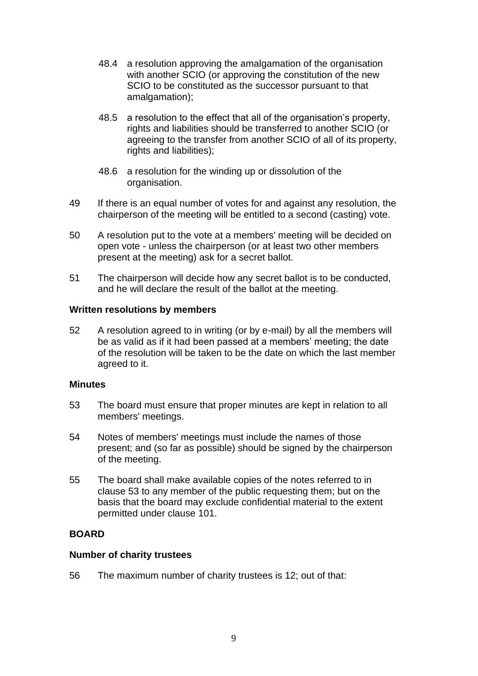- 48.4 a resolution approving the amalgamation of the organisation with another SCIO (or approving the constitution of the new SCIO to be constituted as the successor pursuant to that amalgamation);
- 48.5 a resolution to the effect that all of the organisation's property, rights and liabilities should be transferred to another SCIO (or agreeing to the transfer from another SCIO of all of its property, rights and liabilities);
- 48.6 a resolution for the winding up or dissolution of the organisation.
- 49 If there is an equal number of votes for and against any resolution, the chairperson of the meeting will be entitled to a second (casting) vote.
- 50 A resolution put to the vote at a members' meeting will be decided on open vote - unless the chairperson (or at least two other members present at the meeting) ask for a secret ballot.
- 51 The chairperson will decide how any secret ballot is to be conducted, and he will declare the result of the ballot at the meeting.

#### **Written resolutions by members**

52 A resolution agreed to in writing (or by e-mail) by all the members will be as valid as if it had been passed at a members' meeting; the date of the resolution will be taken to be the date on which the last member agreed to it.

#### **Minutes**

- 53 The board must ensure that proper minutes are kept in relation to all members' meetings.
- 54 Notes of members' meetings must include the names of those present; and (so far as possible) should be signed by the chairperson of the meeting.
- 55 The board shall make available copies of the notes referred to in clause 53 to any member of the public requesting them; but on the basis that the board may exclude confidential material to the extent permitted under clause 101.

# **BOARD**

#### **Number of charity trustees**

56 The maximum number of charity trustees is 12; out of that: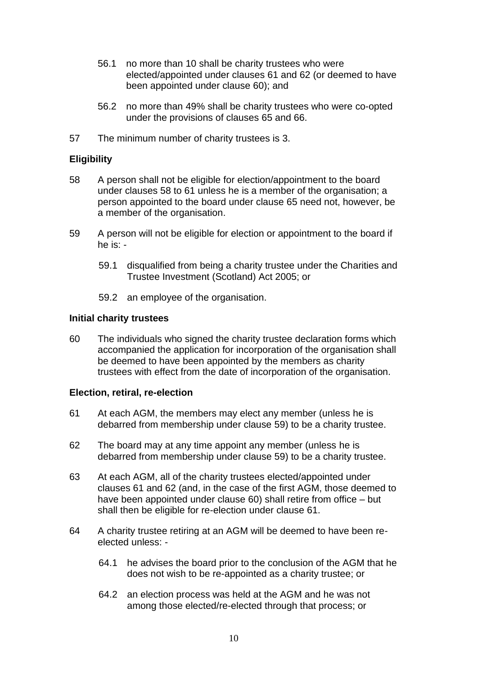- 56.1 no more than 10 shall be charity trustees who were elected/appointed under clauses 61 and 62 (or deemed to have been appointed under clause 60); and
- 56.2 no more than 49% shall be charity trustees who were co-opted under the provisions of clauses [65](#page-10-0) and [66.](#page-10-1)
- 57 The minimum number of charity trustees is 3.

# **Eligibility**

- 58 A person shall not be eligible for election/appointment to the board under clauses 58 to 61 unless he is a member of the organisation; a person appointed to the board under clause [65](#page-10-0) need not, however, be a member of the organisation.
- 59 A person will not be eligible for election or appointment to the board if he is: -
	- 59.1 disqualified from being a charity trustee under the Charities and Trustee Investment (Scotland) Act 2005; or
	- 59.2 an employee of the organisation.

#### **Initial charity trustees**

60 The individuals who signed the charity trustee declaration forms which accompanied the application for incorporation of the organisation shall be deemed to have been appointed by the members as charity trustees with effect from the date of incorporation of the organisation.

# **Election, retiral, re-election**

- 61 At each AGM, the members may elect any member (unless he is debarred from membership under clause 59) to be a charity trustee.
- 62 The board may at any time appoint any member (unless he is debarred from membership under clause 59) to be a charity trustee.
- 63 At each AGM, all of the charity trustees elected/appointed under clauses 61 and 62 (and, in the case of the first AGM, those deemed to have been appointed under clause 60) shall retire from office – but shall then be eligible for re-election under clause 61.
- 64 A charity trustee retiring at an AGM will be deemed to have been reelected unless: -
	- 64.1 he advises the board prior to the conclusion of the AGM that he does not wish to be re-appointed as a charity trustee; or
	- 64.2 an election process was held at the AGM and he was not among those elected/re-elected through that process; or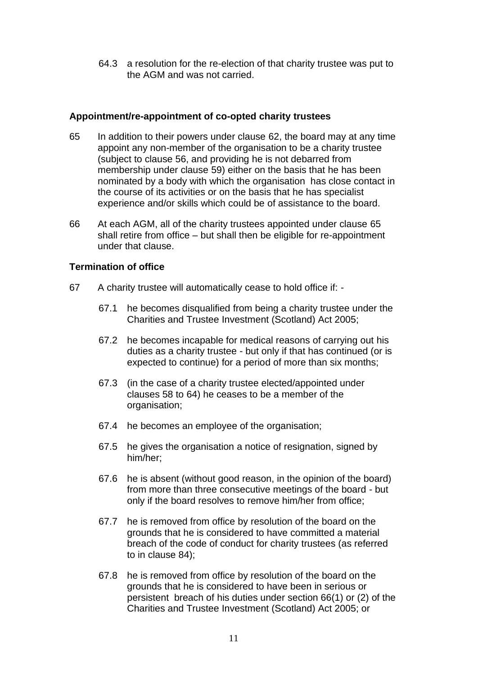64.3 a resolution for the re-election of that charity trustee was put to the AGM and was not carried.

# **Appointment/re-appointment of co-opted charity trustees**

- <span id="page-10-0"></span>65 In addition to their powers under clause 62, the board may at any time appoint any non-member of the organisation to be a charity trustee (subject to clause 56, and providing he is not debarred from membership under clause 59) either on the basis that he has been nominated by a body with which the organisation has close contact in the course of its activities or on the basis that he has specialist experience and/or skills which could be of assistance to the board.
- <span id="page-10-1"></span>66 At each AGM, all of the charity trustees appointed under clause [65](#page-10-0) shall retire from office – but shall then be eligible for re-appointment under that clause.

# **Termination of office**

- 67 A charity trustee will automatically cease to hold office if:
	- 67.1 he becomes disqualified from being a charity trustee under the Charities and Trustee Investment (Scotland) Act 2005;
	- 67.2 he becomes incapable for medical reasons of carrying out his duties as a charity trustee - but only if that has continued (or is expected to continue) for a period of more than six months;
	- 67.3 (in the case of a charity trustee elected/appointed under clauses 58 to 64) he ceases to be a member of the organisation;
	- 67.4 he becomes an employee of the organisation;
	- 67.5 he gives the organisation a notice of resignation, signed by him/her;
	- 67.6 he is absent (without good reason, in the opinion of the board) from more than three consecutive meetings of the board - but only if the board resolves to remove him/her from office;
	- 67.7 he is removed from office by resolution of the board on the grounds that he is considered to have committed a material breach of the code of conduct for charity trustees (as referred to in clause 84);
	- 67.8 he is removed from office by resolution of the board on the grounds that he is considered to have been in serious or persistent breach of his duties under section 66(1) or (2) of the Charities and Trustee Investment (Scotland) Act 2005; or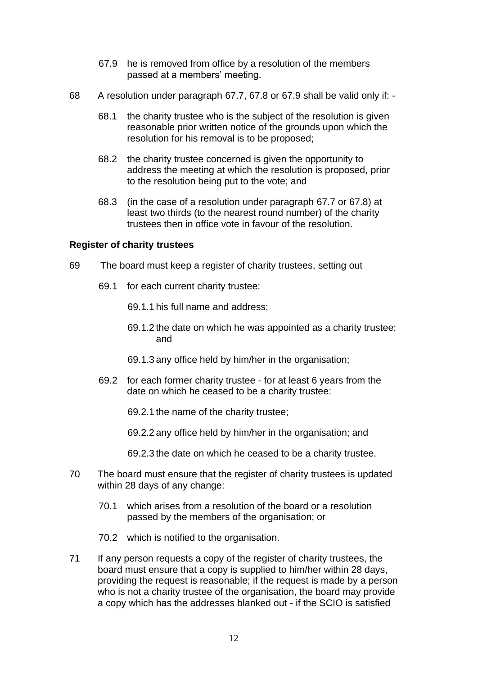- 67.9 he is removed from office by a resolution of the members passed at a members' meeting.
- 68 A resolution under paragraph 67.7, 67.8 or 67.9 shall be valid only if:
	- 68.1 the charity trustee who is the subject of the resolution is given reasonable prior written notice of the grounds upon which the resolution for his removal is to be proposed;
	- 68.2 the charity trustee concerned is given the opportunity to address the meeting at which the resolution is proposed, prior to the resolution being put to the vote; and
	- 68.3 (in the case of a resolution under paragraph 67.7 or 67.8) at least two thirds (to the nearest round number) of the charity trustees then in office vote in favour of the resolution.

# **Register of charity trustees**

- 69 The board must keep a register of charity trustees, setting out
	- 69.1 for each current charity trustee:
		- 69.1.1 his full name and address;
		- 69.1.2 the date on which he was appointed as a charity trustee; and
		- 69.1.3 any office held by him/her in the organisation;
	- 69.2 for each former charity trustee for at least 6 years from the date on which he ceased to be a charity trustee:
		- 69.2.1 the name of the charity trustee;
		- 69.2.2 any office held by him/her in the organisation; and
		- 69.2.3 the date on which he ceased to be a charity trustee.
- 70 The board must ensure that the register of charity trustees is updated within 28 days of any change:
	- 70.1 which arises from a resolution of the board or a resolution passed by the members of the organisation; or
	- 70.2 which is notified to the organisation.
- 71 If any person requests a copy of the register of charity trustees, the board must ensure that a copy is supplied to him/her within 28 days, providing the request is reasonable; if the request is made by a person who is not a charity trustee of the organisation, the board may provide a copy which has the addresses blanked out - if the SCIO is satisfied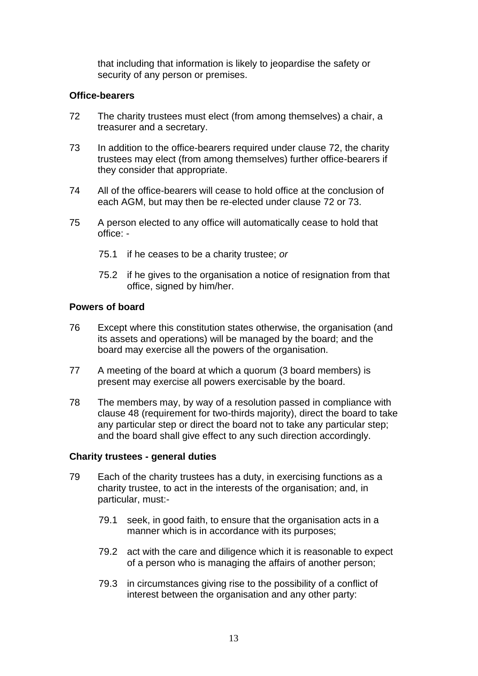that including that information is likely to jeopardise the safety or security of any person or premises.

# **Office-bearers**

- 72 The charity trustees must elect (from among themselves) a chair, a treasurer and a secretary.
- 73 In addition to the office-bearers required under clause 72, the charity trustees may elect (from among themselves) further office-bearers if they consider that appropriate.
- 74 All of the office-bearers will cease to hold office at the conclusion of each AGM, but may then be re-elected under clause 72 or 73.
- 75 A person elected to any office will automatically cease to hold that office: -
	- 75.1 if he ceases to be a charity trustee; *or*
	- 75.2 if he gives to the organisation a notice of resignation from that office, signed by him/her.

# **Powers of board**

- 76 Except where this constitution states otherwise, the organisation (and its assets and operations) will be managed by the board; and the board may exercise all the powers of the organisation.
- 77 A meeting of the board at which a quorum (3 board members) is present may exercise all powers exercisable by the board.
- 78 The members may, by way of a resolution passed in compliance with clause 48 (requirement for two-thirds majority), direct the board to take any particular step or direct the board not to take any particular step; and the board shall give effect to any such direction accordingly.

# **Charity trustees - general duties**

- 79 Each of the charity trustees has a duty, in exercising functions as a charity trustee, to act in the interests of the organisation; and, in particular, must:-
	- 79.1 seek, in good faith, to ensure that the organisation acts in a manner which is in accordance with its purposes;
	- 79.2 act with the care and diligence which it is reasonable to expect of a person who is managing the affairs of another person;
	- 79.3 in circumstances giving rise to the possibility of a conflict of interest between the organisation and any other party: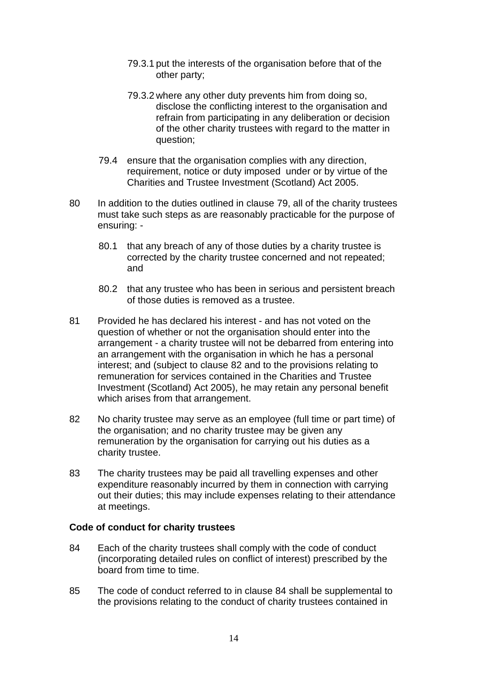- 79.3.1 put the interests of the organisation before that of the other party;
- 79.3.2 where any other duty prevents him from doing so, disclose the conflicting interest to the organisation and refrain from participating in any deliberation or decision of the other charity trustees with regard to the matter in question;
- 79.4 ensure that the organisation complies with any direction, requirement, notice or duty imposed under or by virtue of the Charities and Trustee Investment (Scotland) Act 2005.
- 80 In addition to the duties outlined in clause 79, all of the charity trustees must take such steps as are reasonably practicable for the purpose of ensuring: -
	- 80.1 that any breach of any of those duties by a charity trustee is corrected by the charity trustee concerned and not repeated; and
	- 80.2 that any trustee who has been in serious and persistent breach of those duties is removed as a trustee.
- 81 Provided he has declared his interest and has not voted on the question of whether or not the organisation should enter into the arrangement - a charity trustee will not be debarred from entering into an arrangement with the organisation in which he has a personal interest; and (subject to clause 82 and to the provisions relating to remuneration for services contained in the Charities and Trustee Investment (Scotland) Act 2005), he may retain any personal benefit which arises from that arrangement.
- 82 No charity trustee may serve as an employee (full time or part time) of the organisation; and no charity trustee may be given any remuneration by the organisation for carrying out his duties as a charity trustee.
- 83 The charity trustees may be paid all travelling expenses and other expenditure reasonably incurred by them in connection with carrying out their duties; this may include expenses relating to their attendance at meetings.

# **Code of conduct for charity trustees**

- 84 Each of the charity trustees shall comply with the code of conduct (incorporating detailed rules on conflict of interest) prescribed by the board from time to time.
- 85 The code of conduct referred to in clause 84 shall be supplemental to the provisions relating to the conduct of charity trustees contained in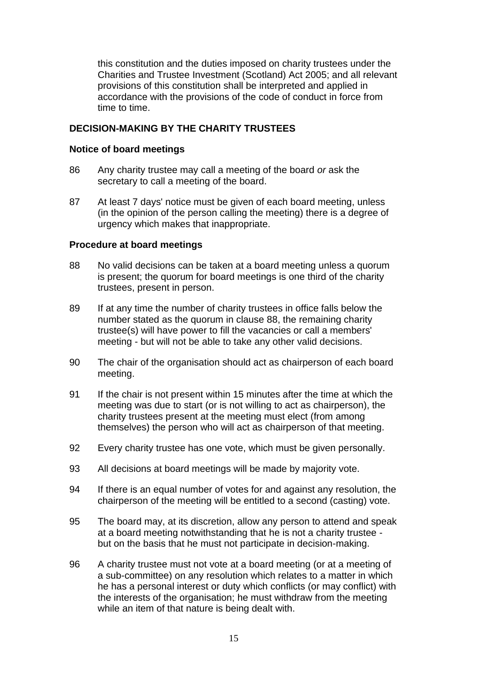this constitution and the duties imposed on charity trustees under the Charities and Trustee Investment (Scotland) Act 2005; and all relevant provisions of this constitution shall be interpreted and applied in accordance with the provisions of the code of conduct in force from time to time.

# **DECISION-MAKING BY THE CHARITY TRUSTEES**

# **Notice of board meetings**

- 86 Any charity trustee may call a meeting of the board *or* ask the secretary to call a meeting of the board.
- 87 At least 7 days' notice must be given of each board meeting, unless (in the opinion of the person calling the meeting) there is a degree of urgency which makes that inappropriate.

#### **Procedure at board meetings**

- 88 No valid decisions can be taken at a board meeting unless a quorum is present; the quorum for board meetings is one third of the charity trustees, present in person.
- 89 If at any time the number of charity trustees in office falls below the number stated as the quorum in clause 88, the remaining charity trustee(s) will have power to fill the vacancies or call a members' meeting - but will not be able to take any other valid decisions.
- 90 The chair of the organisation should act as chairperson of each board meeting.
- 91 If the chair is not present within 15 minutes after the time at which the meeting was due to start (or is not willing to act as chairperson), the charity trustees present at the meeting must elect (from among themselves) the person who will act as chairperson of that meeting.
- 92 Every charity trustee has one vote, which must be given personally.
- 93 All decisions at board meetings will be made by majority vote.
- 94 If there is an equal number of votes for and against any resolution, the chairperson of the meeting will be entitled to a second (casting) vote.
- 95 The board may, at its discretion, allow any person to attend and speak at a board meeting notwithstanding that he is not a charity trustee but on the basis that he must not participate in decision-making.
- 96 A charity trustee must not vote at a board meeting (or at a meeting of a sub-committee) on any resolution which relates to a matter in which he has a personal interest or duty which conflicts (or may conflict) with the interests of the organisation; he must withdraw from the meeting while an item of that nature is being dealt with.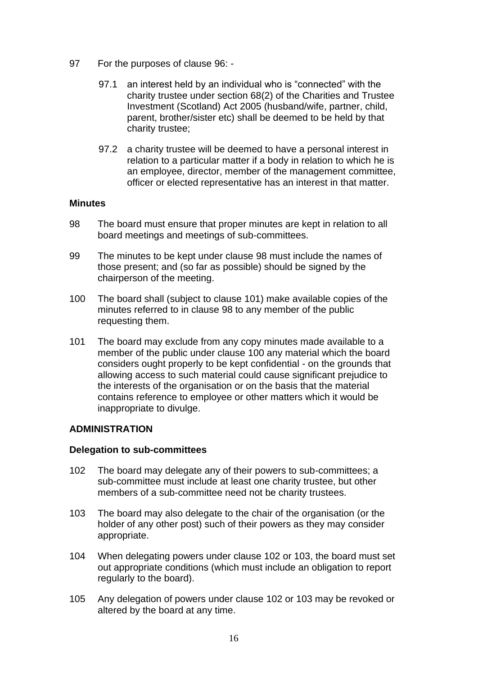- 97 For the purposes of clause 96:
	- 97.1 an interest held by an individual who is "connected" with the charity trustee under section 68(2) of the Charities and Trustee Investment (Scotland) Act 2005 (husband/wife, partner, child, parent, brother/sister etc) shall be deemed to be held by that charity trustee;
	- 97.2 a charity trustee will be deemed to have a personal interest in relation to a particular matter if a body in relation to which he is an employee, director, member of the management committee, officer or elected representative has an interest in that matter.

# **Minutes**

- 98 The board must ensure that proper minutes are kept in relation to all board meetings and meetings of sub-committees.
- 99 The minutes to be kept under clause 98 must include the names of those present; and (so far as possible) should be signed by the chairperson of the meeting.
- 100 The board shall (subject to clause 101) make available copies of the minutes referred to in clause 98 to any member of the public requesting them.
- 101 The board may exclude from any copy minutes made available to a member of the public under clause 100 any material which the board considers ought properly to be kept confidential - on the grounds that allowing access to such material could cause significant prejudice to the interests of the organisation or on the basis that the material contains reference to employee or other matters which it would be inappropriate to divulge.

# **ADMINISTRATION**

#### **Delegation to sub-committees**

- 102 The board may delegate any of their powers to sub-committees; a sub-committee must include at least one charity trustee, but other members of a sub-committee need not be charity trustees.
- 103 The board may also delegate to the chair of the organisation (or the holder of any other post) such of their powers as they may consider appropriate.
- 104 When delegating powers under clause 102 or 103, the board must set out appropriate conditions (which must include an obligation to report regularly to the board).
- 105 Any delegation of powers under clause 102 or 103 may be revoked or altered by the board at any time.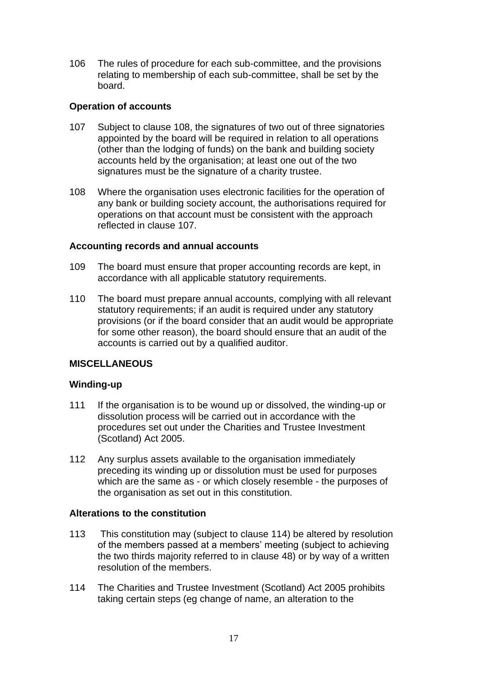106 The rules of procedure for each sub-committee, and the provisions relating to membership of each sub-committee, shall be set by the board.

# **Operation of accounts**

- 107 Subject to clause 108, the signatures of two out of three signatories appointed by the board will be required in relation to all operations (other than the lodging of funds) on the bank and building society accounts held by the organisation; at least one out of the two signatures must be the signature of a charity trustee.
- 108 Where the organisation uses electronic facilities for the operation of any bank or building society account, the authorisations required for operations on that account must be consistent with the approach reflected in clause 107.

# **Accounting records and annual accounts**

- 109 The board must ensure that proper accounting records are kept, in accordance with all applicable statutory requirements.
- 110 The board must prepare annual accounts, complying with all relevant statutory requirements; if an audit is required under any statutory provisions (or if the board consider that an audit would be appropriate for some other reason), the board should ensure that an audit of the accounts is carried out by a qualified auditor.

# **MISCELLANEOUS**

# **Winding-up**

- 111 If the organisation is to be wound up or dissolved, the winding-up or dissolution process will be carried out in accordance with the procedures set out under the Charities and Trustee Investment (Scotland) Act 2005.
- 112 Any surplus assets available to the organisation immediately preceding its winding up or dissolution must be used for purposes which are the same as - or which closely resemble - the purposes of the organisation as set out in this constitution.

# **Alterations to the constitution**

- 113 This constitution may (subject to clause 114) be altered by resolution of the members passed at a members' meeting (subject to achieving the two thirds majority referred to in clause 48) or by way of a written resolution of the members.
- 114 The Charities and Trustee Investment (Scotland) Act 2005 prohibits taking certain steps (eg change of name, an alteration to the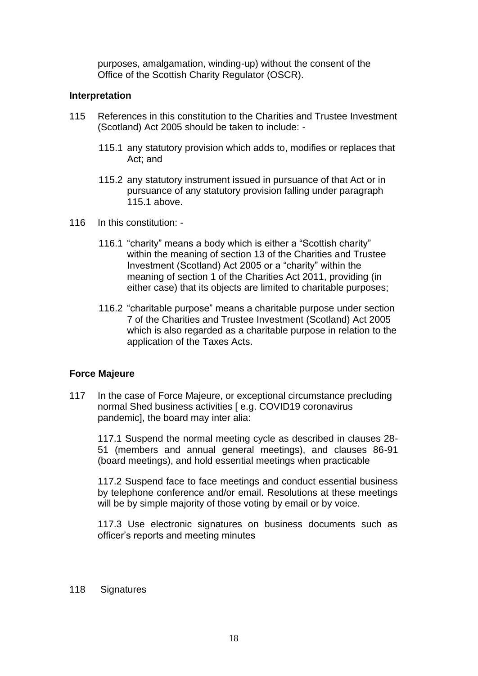purposes, amalgamation, winding-up) without the consent of the Office of the Scottish Charity Regulator (OSCR).

### **Interpretation**

- 115 References in this constitution to the Charities and Trustee Investment (Scotland) Act 2005 should be taken to include: -
	- 115.1 any statutory provision which adds to, modifies or replaces that Act; and
	- 115.2 any statutory instrument issued in pursuance of that Act or in pursuance of any statutory provision falling under paragraph 115.1 above.
- 116 In this constitution:
	- 116.1 "charity" means a body which is either a "Scottish charity" within the meaning of section 13 of the Charities and Trustee Investment (Scotland) Act 2005 or a "charity" within the meaning of section 1 of the Charities Act 2011, providing (in either case) that its objects are limited to charitable purposes;
	- 116.2 "charitable purpose" means a charitable purpose under section 7 of the Charities and Trustee Investment (Scotland) Act 2005 which is also regarded as a charitable purpose in relation to the application of the Taxes Acts.

# **Force Majeure**

117 In the case of Force Majeure, or exceptional circumstance precluding normal Shed business activities [ e.g. COVID19 coronavirus pandemic], the board may inter alia:

117.1 Suspend the normal meeting cycle as described in clauses 28- 51 (members and annual general meetings), and clauses 86-91 (board meetings), and hold essential meetings when practicable

117.2 Suspend face to face meetings and conduct essential business by telephone conference and/or email. Resolutions at these meetings will be by simple majority of those voting by email or by voice.

117.3 Use electronic signatures on business documents such as officer's reports and meeting minutes

#### 118 Signatures